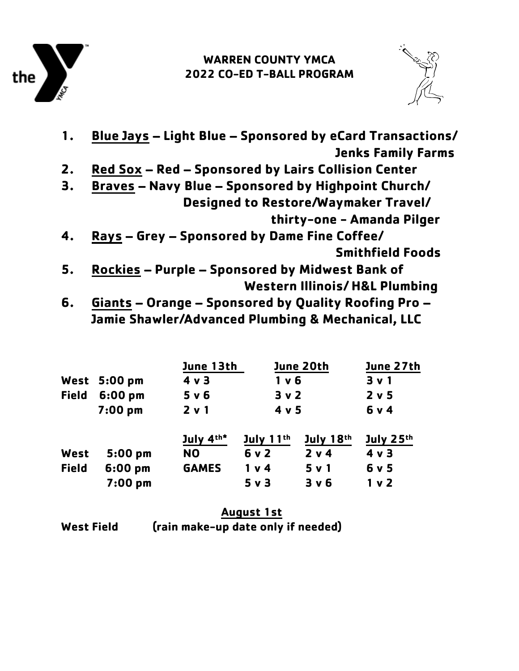

## **WARREN COUNTY YMCA 2022 CO-ED T-BALL PROGRAM**



| 1. | Blue Jays - Light Blue - Sponsored by eCard Transactions/  |
|----|------------------------------------------------------------|
|    | <b>Jenks Family Farms</b>                                  |
| 2. | Red Sox - Red - Sponsored by Lairs Collision Center        |
| 3. | <b>Braves - Navy Blue - Sponsored by Highpoint Church/</b> |
|    | Designed to Restore/Waymaker Travel/                       |
|    | thirty-one - Amanda Pilger                                 |
| 4. | Rays - Grey - Sponsored by Dame Fine Coffee/               |
|    | <b>Smithfield Foods</b>                                    |
| 5. | <b>Rockies - Purple - Sponsored by Midwest Bank of</b>     |
|    | <b>Western Illinois/H&amp;L Plumbing</b>                   |
| 6. | Giants - Orange - Sponsored by Quality Roofing Pro -       |
|    | Jamie Shawler/Advanced Plumbing & Mechanical, LLC          |

|              |                     | June 13th      |                | June 20th | June 27th      |
|--------------|---------------------|----------------|----------------|-----------|----------------|
|              | <b>West 5:00 pm</b> | $4 \vee 3$     | $1v$ 6         |           | 3 v 1          |
| <b>Field</b> | $6:00$ pm           | 5 v 6          | 3v2<br>4 v 5   |           | 2 v 5          |
|              | $7:00$ pm           | 2 v 1          |                |           | 6 v 4          |
|              |                     | July 4th*      | July $11th$    | July 18th | July 25th      |
| West         | $5:00$ pm           | N <sub>O</sub> | 6v2            | 2 v 4     | 4 v 3          |
| <b>Field</b> | $6:00$ pm           | <b>GAMES</b>   | 1 <sub>v</sub> | 5 v 1     | 6 v 5          |
|              | 7:00 pm             |                | $5v$ 3         | 3 v 6     | 1 <sub>v</sub> |

|                   | <b>August 1st</b>                  |  |  |
|-------------------|------------------------------------|--|--|
| <b>West Field</b> | (rain make-up date only if needed) |  |  |